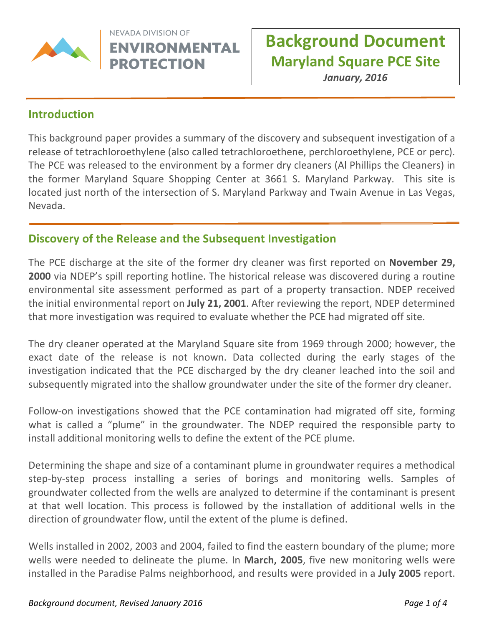

NEVADA DIVISION OF **ENVIRONMENTAL PROTECTION** 

January, 2016

#### **Introduction**

This background paper provides a summary of the discovery and subsequent investigation of a release of tetrachloroethylene (also called tetrachloroethene, perchloroethylene, PCE or perc). The PCE was released to the environment by a former dry cleaners (Al Phillips the Cleaners) in the former Maryland Square Shopping Center at 3661 S. Maryland Parkway. This site is located just north of the intersection of S. Maryland Parkway and Twain Avenue in Las Vegas, Nevada.

 $\overline{a}$ 

#### Discovery of the Release and the Subsequent Investigation

The PCE discharge at the site of the former dry cleaner was first reported on **November 29,** 2000 via NDEP's spill reporting hotline. The historical release was discovered during a routine environmental site assessment performed as part of a property transaction. NDEP received the initial environmental report on July 21, 2001. After reviewing the report, NDEP determined that more investigation was required to evaluate whether the PCE had migrated off site.

The dry cleaner operated at the Maryland Square site from 1969 through 2000; however, the exact date of the release is not known. Data collected during the early stages of the investigation indicated that the PCE discharged by the dry cleaner leached into the soil and subsequently migrated into the shallow groundwater under the site of the former dry cleaner.

Follow-on investigations showed that the PCE contamination had migrated off site, forming what is called a "plume" in the groundwater. The NDEP required the responsible party to install additional monitoring wells to define the extent of the PCE plume.

Determining the shape and size of a contaminant plume in groundwater requires a methodical step-by-step process installing a series of borings and monitoring wells. Samples of groundwater collected from the wells are analyzed to determine if the contaminant is present at that well location. This process is followed by the installation of additional wells in the direction of groundwater flow, until the extent of the plume is defined.

Wells installed in 2002, 2003 and 2004, failed to find the eastern boundary of the plume; more wells were needed to delineate the plume. In March, 2005, five new monitoring wells were installed in the Paradise Palms neighborhood, and results were provided in a July 2005 report.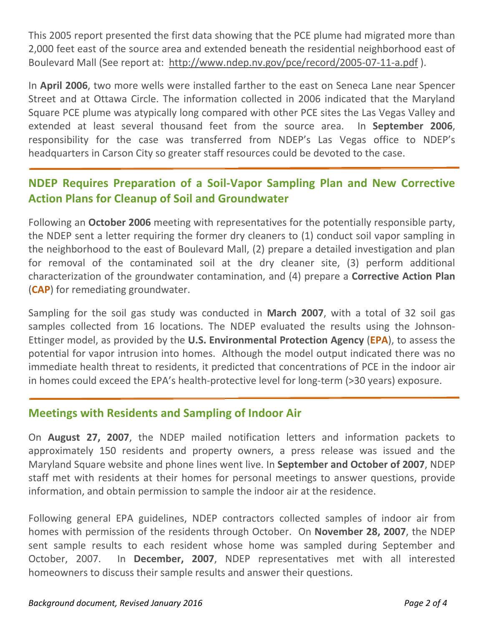This 2005 report presented the first data showing that the PCE plume had migrated more than 2,000 feet east of the source area and extended beneath the residential neighborhood east of Boulevard Mall (See report at: http://www.ndep.nv.gov/pce/record/2005-07-11-a.pdf ).

In April 2006, two more wells were installed farther to the east on Seneca Lane near Spencer Street and at Ottawa Circle. The information collected in 2006 indicated that the Maryland Square PCE plume was atypically long compared with other PCE sites the Las Vegas Valley and extended at least several thousand feet from the source area. In September 2006, responsibility for the case was transferred from NDEP's Las Vegas office to NDEP's headquarters in Carson City so greater staff resources could be devoted to the case.

# NDEP Requires Preparation of a Soil-Vapor Sampling Plan and New Corrective Action Plans for Cleanup of Soil and Groundwater

Following an **October 2006** meeting with representatives for the potentially responsible party, the NDEP sent a letter requiring the former dry cleaners to (1) conduct soil vapor sampling in the neighborhood to the east of Boulevard Mall, (2) prepare a detailed investigation and plan for removal of the contaminated soil at the dry cleaner site, (3) perform additional characterization of the groundwater contamination, and (4) prepare a Corrective Action Plan (CAP) for remediating groundwater.

Sampling for the soil gas study was conducted in March 2007, with a total of 32 soil gas samples collected from 16 locations. The NDEP evaluated the results using the Johnson-Ettinger model, as provided by the U.S. Environmental Protection Agency (EPA), to assess the potential for vapor intrusion into homes. Although the model output indicated there was no immediate health threat to residents, it predicted that concentrations of PCE in the indoor air in homes could exceed the EPA's health-protective level for long-term (>30 years) exposure.

## Meetings with Residents and Sampling of Indoor Air

On August 27, 2007, the NDEP mailed notification letters and information packets to approximately 150 residents and property owners, a press release was issued and the Maryland Square website and phone lines went live. In September and October of 2007, NDEP staff met with residents at their homes for personal meetings to answer questions, provide information, and obtain permission to sample the indoor air at the residence.

Following general EPA guidelines, NDEP contractors collected samples of indoor air from homes with permission of the residents through October. On November 28, 2007, the NDEP sent sample results to each resident whose home was sampled during September and October, 2007. In December, 2007, NDEP representatives met with all interested homeowners to discuss their sample results and answer their questions.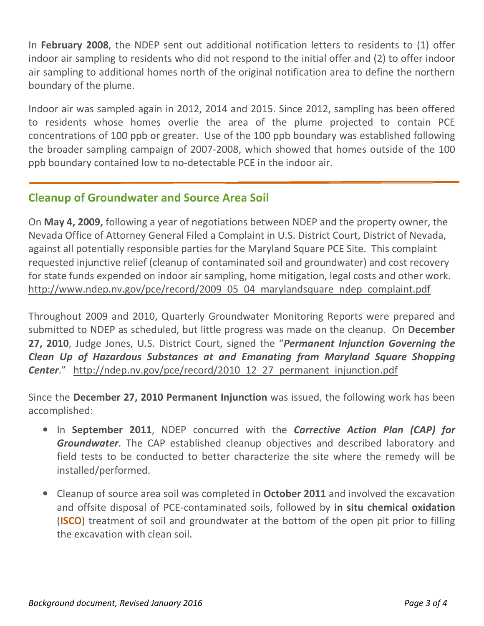In February 2008, the NDEP sent out additional notification letters to residents to (1) offer indoor air sampling to residents who did not respond to the initial offer and (2) to offer indoor air sampling to additional homes north of the original notification area to define the northern boundary of the plume.

Indoor air was sampled again in 2012, 2014 and 2015. Since 2012, sampling has been offered to residents whose homes overlie the area of the plume projected to contain PCE concentrations of 100 ppb or greater. Use of the 100 ppb boundary was established following the broader sampling campaign of 2007-2008, which showed that homes outside of the 100 ppb boundary contained low to no-detectable PCE in the indoor air.

## Cleanup of Groundwater and Source Area Soil

On May 4, 2009, following a year of negotiations between NDEP and the property owner, the Nevada Office of Attorney General Filed a Complaint in U.S. District Court, District of Nevada, against all potentially responsible parties for the Maryland Square PCE Site. This complaint requested injunctive relief (cleanup of contaminated soil and groundwater) and cost recovery for state funds expended on indoor air sampling, home mitigation, legal costs and other work. http://www.ndep.nv.gov/pce/record/2009\_05\_04\_marylandsquare\_ndep\_complaint.pdf

Throughout 2009 and 2010, Quarterly Groundwater Monitoring Reports were prepared and submitted to NDEP as scheduled, but little progress was made on the cleanup. On December 27, 2010, Judge Jones, U.S. District Court, signed the "Permanent Injunction Governing the Clean Up of Hazardous Substances at and Emanating from Maryland Square Shopping Center." http://ndep.nv.gov/pce/record/2010\_12\_27\_permanent\_injunction.pdf

Since the December 27, 2010 Permanent Injunction was issued, the following work has been accomplished:

- In September 2011, NDEP concurred with the Corrective Action Plan (CAP) for **Groundwater.** The CAP established cleanup objectives and described laboratory and field tests to be conducted to better characterize the site where the remedy will be installed/performed.
- Cleanup of source area soil was completed in **October 2011** and involved the excavation and offsite disposal of PCE-contaminated soils, followed by in situ chemical oxidation (ISCO) treatment of soil and groundwater at the bottom of the open pit prior to filling the excavation with clean soil.